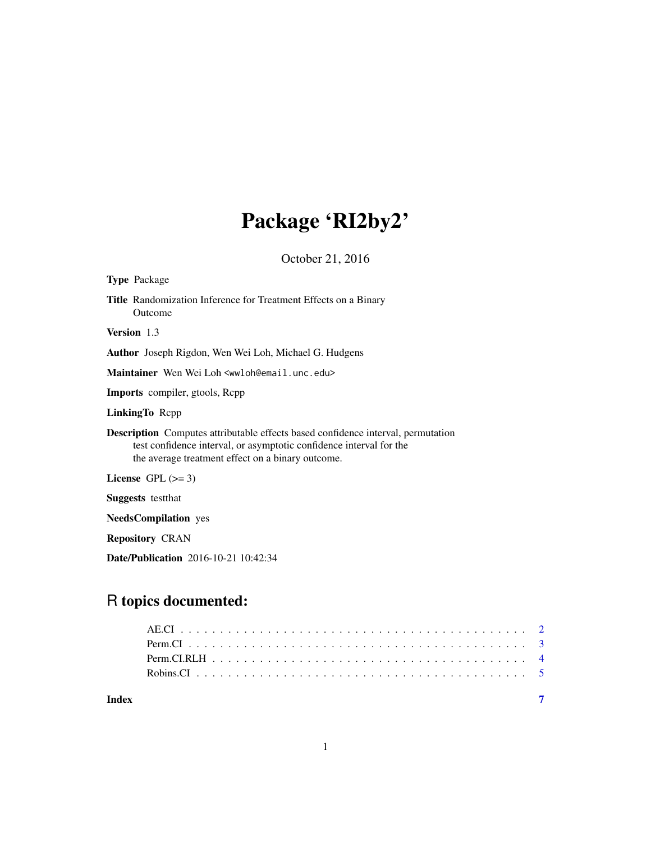# Package 'RI2by2'

October 21, 2016

| <b>Type Package</b>                                                                                                                                                                                                 |
|---------------------------------------------------------------------------------------------------------------------------------------------------------------------------------------------------------------------|
| Title Randomization Inference for Treatment Effects on a Binary<br>Outcome                                                                                                                                          |
| <b>Version</b> 1.3                                                                                                                                                                                                  |
| <b>Author</b> Joseph Rigdon, Wen Wei Loh, Michael G. Hudgens                                                                                                                                                        |
| Maintainer Wen Wei Loh <wwloh@email.unc.edu></wwloh@email.unc.edu>                                                                                                                                                  |
| <b>Imports</b> compiler, gtools, Rcpp                                                                                                                                                                               |
| <b>LinkingTo Repp</b>                                                                                                                                                                                               |
| <b>Description</b> Computes attributable effects based confidence interval, permutation<br>test confidence interval, or asymptotic confidence interval for the<br>the average treatment effect on a binary outcome. |
| License $GPL \, (>= 3)$                                                                                                                                                                                             |
| <b>Suggests</b> testthat                                                                                                                                                                                            |
| <b>NeedsCompilation</b> yes                                                                                                                                                                                         |
| <b>Repository CRAN</b>                                                                                                                                                                                              |
| <b>Date/Publication</b> 2016-10-21 10:42:34                                                                                                                                                                         |

# R topics documented:

| Index |  |
|-------|--|

1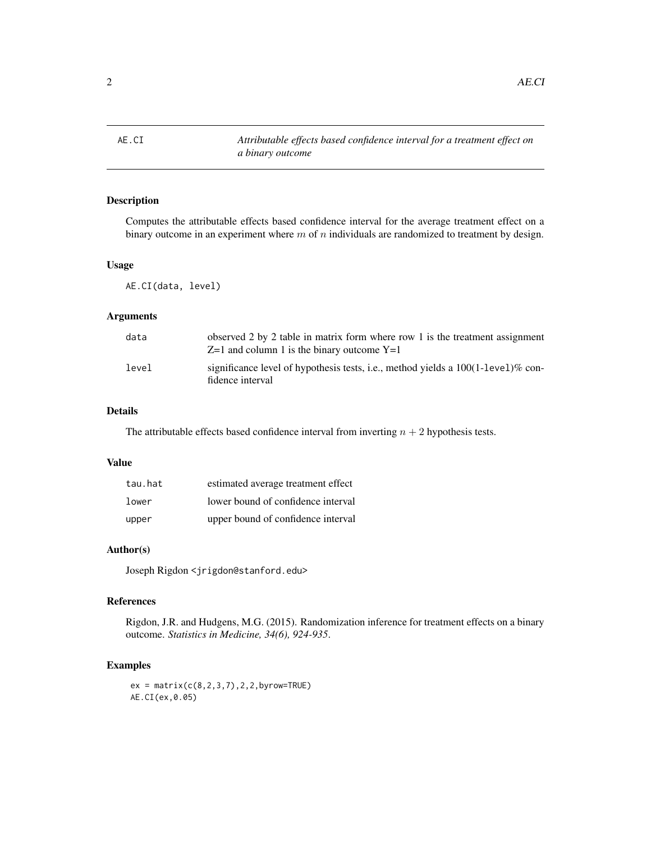<span id="page-1-0"></span>2 AE.CI

# Description

Computes the attributable effects based confidence interval for the average treatment effect on a binary outcome in an experiment where  $m$  of  $n$  individuals are randomized to treatment by design.

#### Usage

AE.CI(data, level)

# Arguments

| data  | observed 2 by 2 table in matrix form where row 1 is the treatment assignment<br>$Z=1$ and column 1 is the binary outcome $Y=1$ |
|-------|--------------------------------------------------------------------------------------------------------------------------------|
| level | significance level of hypothesis tests, i.e., method yields a $100(1$ -level)% con-<br>fidence interval                        |

# Details

The attributable effects based confidence interval from inverting  $n + 2$  hypothesis tests.

## Value

| tau.hat | estimated average treatment effect |
|---------|------------------------------------|
| lower   | lower bound of confidence interval |
| upper   | upper bound of confidence interval |

# Author(s)

Joseph Rigdon <jrigdon@stanford.edu>

#### References

Rigdon, J.R. and Hudgens, M.G. (2015). Randomization inference for treatment effects on a binary outcome. *Statistics in Medicine, 34(6), 924-935*.

# Examples

 $ex = matrix(c(8, 2, 3, 7), 2, 2, by row = TRUE)$ AE.CI(ex,0.05)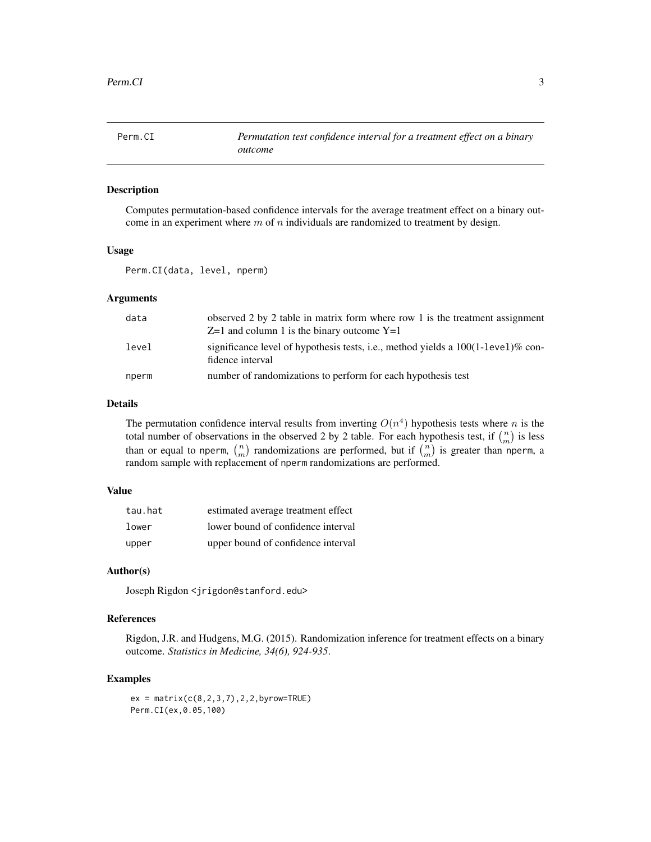<span id="page-2-0"></span>

## Description

Computes permutation-based confidence intervals for the average treatment effect on a binary outcome in an experiment where  $m$  of  $n$  individuals are randomized to treatment by design.

# Usage

Perm.CI(data, level, nperm)

# Arguments

| data  | observed 2 by 2 table in matrix form where row 1 is the treatment assignment<br>$Z=1$ and column 1 is the binary outcome $Y=1$ |
|-------|--------------------------------------------------------------------------------------------------------------------------------|
| level | significance level of hypothesis tests, i.e., method yields a $100(1$ -level)% con-<br>fidence interval                        |
| nperm | number of randomizations to perform for each hypothesis test                                                                   |

#### Details

The permutation confidence interval results from inverting  $O(n^4)$  hypothesis tests where n is the total number of observations in the observed 2 by 2 table. For each hypothesis test, if  $\binom{n}{m}$  is less than or equal to nperm,  $\binom{n}{m}$  randomizations are performed, but if  $\binom{n}{m}$  is greater than nperm, a random sample with replacement of nperm randomizations are performed.

# Value

| tau.hat | estimated average treatment effect |
|---------|------------------------------------|
| lower   | lower bound of confidence interval |
| upper   | upper bound of confidence interval |

# Author(s)

Joseph Rigdon <jrigdon@stanford.edu>

# References

Rigdon, J.R. and Hudgens, M.G. (2015). Randomization inference for treatment effects on a binary outcome. *Statistics in Medicine, 34(6), 924-935*.

# Examples

 $ex = matrix(c(8, 2, 3, 7), 2, 2, by row = TRUE)$ Perm.CI(ex,0.05,100)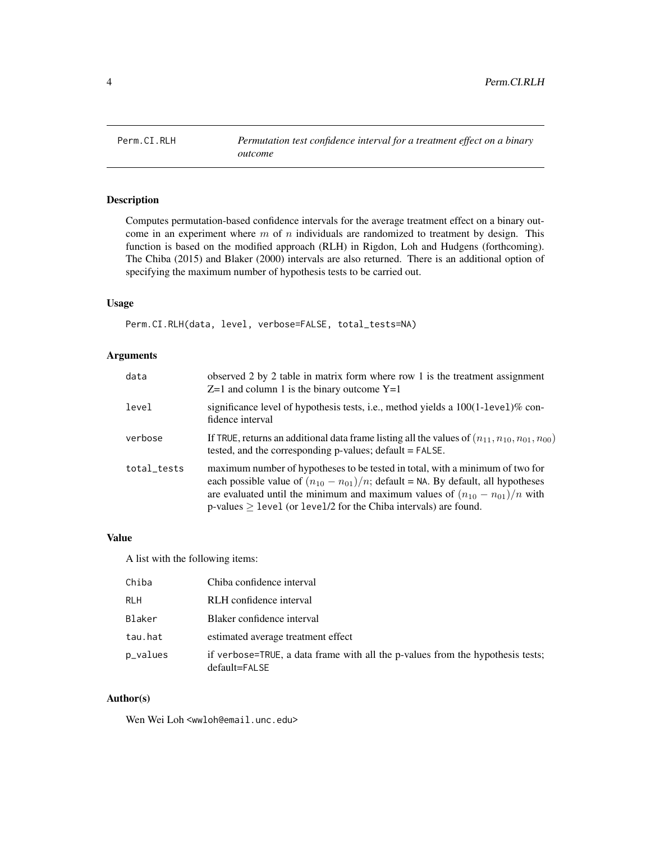<span id="page-3-0"></span>

# Description

Computes permutation-based confidence intervals for the average treatment effect on a binary outcome in an experiment where  $m$  of  $n$  individuals are randomized to treatment by design. This function is based on the modified approach (RLH) in Rigdon, Loh and Hudgens (forthcoming). The Chiba (2015) and Blaker (2000) intervals are also returned. There is an additional option of specifying the maximum number of hypothesis tests to be carried out.

# Usage

Perm.CI.RLH(data, level, verbose=FALSE, total\_tests=NA)

# Arguments

| data        | observed 2 by 2 table in matrix form where row 1 is the treatment assignment<br>$Z=1$ and column 1 is the binary outcome $Y=1$                                                                                                                                                                                                        |
|-------------|---------------------------------------------------------------------------------------------------------------------------------------------------------------------------------------------------------------------------------------------------------------------------------------------------------------------------------------|
| level       | significance level of hypothesis tests, i.e., method yields a $100(1$ -level)% con-<br>fidence interval                                                                                                                                                                                                                               |
| verbose     | If TRUE, returns an additional data frame listing all the values of $(n_{11}, n_{10}, n_{01}, n_{00})$<br>tested, and the corresponding p-values; default = FALSE.                                                                                                                                                                    |
| total_tests | maximum number of hypotheses to be tested in total, with a minimum of two for<br>each possible value of $(n_{10} - n_{01})/n$ ; default = NA. By default, all hypotheses<br>are evaluated until the minimum and maximum values of $(n_{10} - n_{01})/n$ with<br>p-values $\geq$ level (or level/2 for the Chiba intervals) are found. |

# Value

A list with the following items:

| Chiba    | Chiba confidence interval                                                                       |
|----------|-------------------------------------------------------------------------------------------------|
| ri H     | RLH confidence interval                                                                         |
| Blaker   | Blaker confidence interval                                                                      |
| tau.hat  | estimated average treatment effect                                                              |
| p_values | if verbose=TRUE, a data frame with all the p-values from the hypothesis tests;<br>default=FALSE |

## Author(s)

Wen Wei Loh <wwloh@email.unc.edu>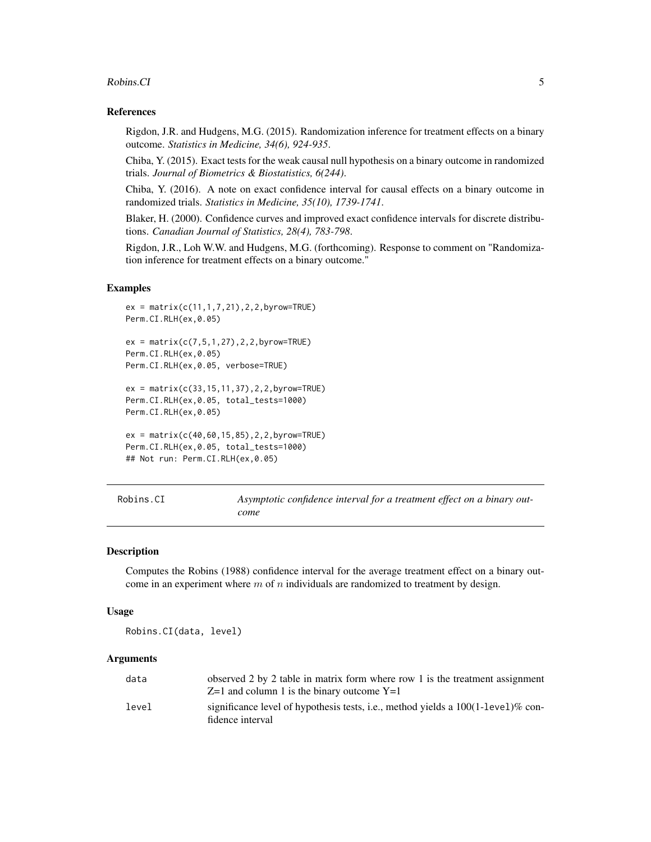### <span id="page-4-0"></span>Robins.CI 5

### References

Rigdon, J.R. and Hudgens, M.G. (2015). Randomization inference for treatment effects on a binary outcome. *Statistics in Medicine, 34(6), 924-935*.

Chiba, Y. (2015). Exact tests for the weak causal null hypothesis on a binary outcome in randomized trials. *Journal of Biometrics & Biostatistics, 6(244)*.

Chiba, Y. (2016). A note on exact confidence interval for causal effects on a binary outcome in randomized trials. *Statistics in Medicine, 35(10), 1739-1741*.

Blaker, H. (2000). Confidence curves and improved exact confidence intervals for discrete distributions. *Canadian Journal of Statistics, 28(4), 783-798*.

Rigdon, J.R., Loh W.W. and Hudgens, M.G. (forthcoming). Response to comment on "Randomization inference for treatment effects on a binary outcome."

#### Examples

```
ex = matrix(c(11,1,7,21),2,2,byrow=TRUE)
Perm.CI.RLH(ex,0.05)
ex = matrix(c(7, 5, 1, 27), 2, 2, by row=True)Perm.CI.RLH(ex,0.05)
Perm.CI.RLH(ex,0.05, verbose=TRUE)
ex = matrix(c(33,15,11,37),2,2,byrow=TRUE)
Perm.CI.RLH(ex,0.05, total_tests=1000)
Perm.CI.RLH(ex,0.05)
ex = matrix(c(40, 60, 15, 85), 2, 2, by row = TRUE)Perm.CI.RLH(ex,0.05, total_tests=1000)
## Not run: Perm.CI.RLH(ex,0.05)
```
Robins.CI *Asymptotic confidence interval for a treatment effect on a binary outcome*

#### Description

Computes the Robins (1988) confidence interval for the average treatment effect on a binary outcome in an experiment where  $m$  of  $n$  individuals are randomized to treatment by design.

#### Usage

Robins.CI(data, level)

## Arguments

| data  | observed 2 by 2 table in matrix form where row 1 is the treatment assignment        |
|-------|-------------------------------------------------------------------------------------|
|       | $Z=1$ and column 1 is the binary outcome $Y=1$                                      |
| level | significance level of hypothesis tests, i.e., method yields a $100(1$ -level)% con- |
|       | fidence interval                                                                    |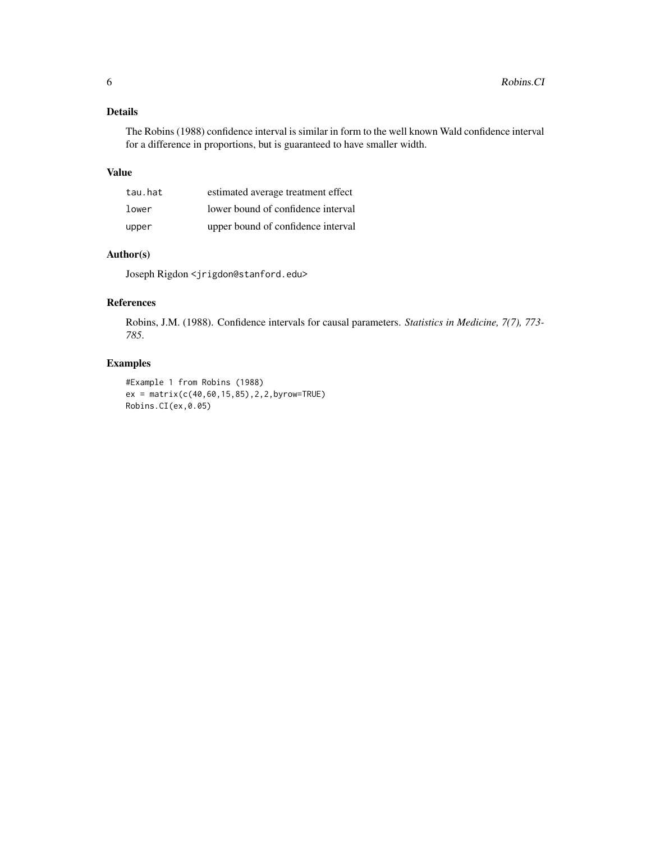# Details

The Robins (1988) confidence interval is similar in form to the well known Wald confidence interval for a difference in proportions, but is guaranteed to have smaller width.

# Value

| tau.hat | estimated average treatment effect |
|---------|------------------------------------|
| lower   | lower bound of confidence interval |
| upper   | upper bound of confidence interval |

# Author(s)

Joseph Rigdon <jrigdon@stanford.edu>

# References

Robins, J.M. (1988). Confidence intervals for causal parameters. *Statistics in Medicine, 7(7), 773- 785*.

# Examples

```
#Example 1 from Robins (1988)
ex = matrix(c(40,60,15,85),2,2,byrow=TRUE)
Robins.CI(ex,0.05)
```